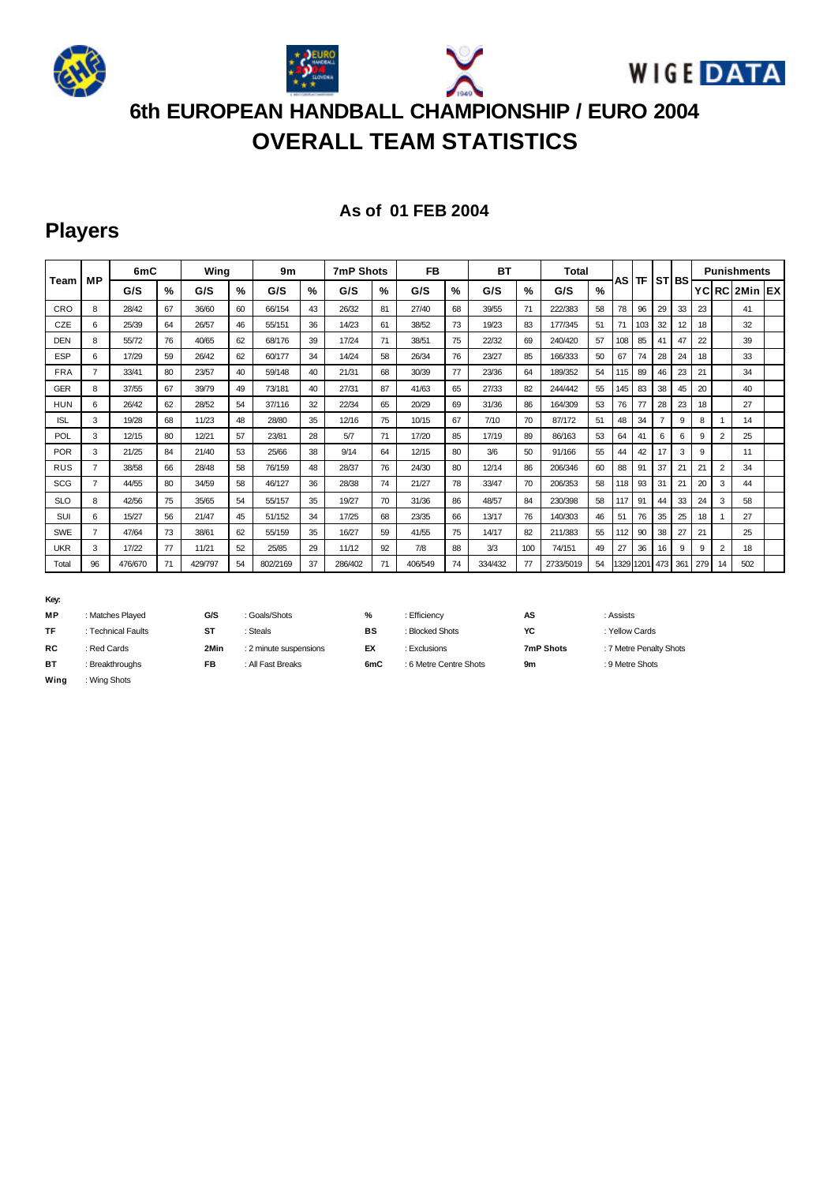

# **OVERALL TEAM STATISTICS**

#### **As of 01 FEB 2004**

# **Players**

|            |                | 6mC     |    | Wing    |               | 9m       |    | <b>7mP Shots</b> |    | <b>FB</b> |               | <b>BT</b> |      | <b>Total</b> |               |      |      |     |         | <b>Punishments</b> |                |               |  |
|------------|----------------|---------|----|---------|---------------|----------|----|------------------|----|-----------|---------------|-----------|------|--------------|---------------|------|------|-----|---------|--------------------|----------------|---------------|--|
| Team       | <b>MP</b>      | G/S     | %  | G/S     | $\frac{9}{6}$ | G/S      | %  | G/S              | %  | G/S       | $\frac{9}{6}$ | G/S       | $\%$ | G/S          | $\frac{9}{6}$ | AS   | ΤF   |     | ISTIBSI |                    |                | YCIRC 2Min EX |  |
| CRO        | 8              | 28/42   | 67 | 36/60   | 60            | 66/154   | 43 | 26/32            | 81 | 27/40     | 68            | 39/55     | 71   | 222/383      | 58            | 78   | 96   | 29  | 33      | 23                 |                | 41            |  |
| CZE        | 6              | 25/39   | 64 | 26/57   | 46            | 55/151   | 36 | 14/23            | 61 | 38/52     | 73            | 19/23     | 83   | 177/345      | 51            | 71   | 103  | 32  | 12      | 18                 |                | 32            |  |
| <b>DEN</b> | 8              | 55/72   | 76 | 40/65   | 62            | 68/176   | 39 | 17/24            | 71 | 38/51     | 75            | 22/32     | 69   | 240/420      | 57            | 108  | 85   | 41  | 47      | 22                 |                | 39            |  |
| <b>ESP</b> | 6              | 17/29   | 59 | 26/42   | 62            | 60/177   | 34 | 14/24            | 58 | 26/34     | 76            | 23/27     | 85   | 166/333      | 50            | 67   | 74   | 28  | 24      | 18                 |                | 33            |  |
| <b>FRA</b> | $\overline{7}$ | 33/41   | 80 | 23/57   | 40            | 59/148   | 40 | 21/31            | 68 | 30/39     | 77            | 23/36     | 64   | 189/352      | 54            | 115  | 89   | 46  | 23      | 21                 |                | 34            |  |
| GER        | 8              | 37/55   | 67 | 39/79   | 49            | 73/181   | 40 | 27/31            | 87 | 41/63     | 65            | 27/33     | 82   | 244/442      | 55            | 145  | 83   | 38  | 45      | 20                 |                | 40            |  |
| <b>HUN</b> | 6              | 26/42   | 62 | 28/52   | 54            | 37/116   | 32 | 22/34            | 65 | 20/29     | 69            | 31/36     | 86   | 164/309      | 53            | 76   | 77   | 28  | 23      | 18                 |                | 27            |  |
| <b>ISL</b> | 3              | 19/28   | 68 | 11/23   | 48            | 28/80    | 35 | 12/16            | 75 | 10/15     | 67            | 7/10      | 70   | 87/172       | 51            | 48   | 34   |     | 9       | 8                  |                | 14            |  |
| <b>POL</b> | 3              | 12/15   | 80 | 12/21   | 57            | 23/81    | 28 | 5/7              | 71 | 17/20     | 85            | 17/19     | 89   | 86/163       | 53            | 64   | 41   | 6   | 6       | 9                  | $\overline{2}$ | 25            |  |
| POR        | 3              | 21/25   | 84 | 21/40   | 53            | 25/66    | 38 | 9/14             | 64 | 12/15     | 80            | 3/6       | 50   | 91/166       | 55            | 44   | 42   | 17  | 3       | 9                  |                | 11            |  |
| <b>RUS</b> | $\overline{7}$ | 38/58   | 66 | 28/48   | 58            | 76/159   | 48 | 28/37            | 76 | 24/30     | 80            | 12/14     | 86   | 206/346      | 60            | 88   | 91   | 37  | 21      | 21                 | $\overline{2}$ | 34            |  |
| <b>SCG</b> | $\overline{7}$ | 44/55   | 80 | 34/59   | 58            | 46/127   | 36 | 28/38            | 74 | 21/27     | 78            | 33/47     | 70   | 206/353      | 58            | 118  | 93   | 31  | 21      | 20                 | 3              | 44            |  |
| <b>SLO</b> | 8              | 42/56   | 75 | 35/65   | 54            | 55/157   | 35 | 19/27            | 70 | 31/36     | 86            | 48/57     | 84   | 230/398      | 58            | 117  | 91   | 44  | 33      | 24                 | 3              | 58            |  |
| SUI        | 6              | 15/27   | 56 | 21/47   | 45            | 51/152   | 34 | 17/25            | 68 | 23/35     | 66            | 13/17     | 76   | 140/303      | 46            | 51   | 76   | 35  | 25      | 18                 |                | 27            |  |
| <b>SWE</b> | $\overline{7}$ | 47/64   | 73 | 38/61   | 62            | 55/159   | 35 | 16/27            | 59 | 41/55     | 75            | 14/17     | 82   | 211/383      | 55            | 112  | 90   | 38  | 27      | 21                 |                | 25            |  |
| <b>UKR</b> | 3              | 17/22   | 77 | 11/21   | 52            | 25/85    | 29 | 11/12            | 92 | 7/8       | 88            | 3/3       | 100  | 74/151       | 49            | 27   | 36   | 16  | 9       | 9                  | 2              | 18            |  |
| Total      | 96             | 476/670 | 71 | 429/797 | 54            | 802/2169 | 37 | 286/402          | 71 | 406/549   | 74            | 334/432   | 77   | 2733/5019    | 54            | 1329 | 1201 | 473 | 36'     | 279                | 14             | 502           |  |

#### **Key:**

| <b>MP</b> | : Matches Played   | G/S  | : Goals/Shots          | %   | : Efficiencv           | AS        | : Assists               |
|-----------|--------------------|------|------------------------|-----|------------------------|-----------|-------------------------|
| TF        | : Technical Faults | ST   | <b>Steals</b>          | BS  | : Blocked Shots        | YC        | : Yellow Cards          |
| <b>RC</b> | : Red Cards        | 2Min | : 2 minute suspensions | EX  | <b>Exclusions</b>      | 7mP Shots | : 7 Metre Penalty Shots |
| BT        | : Breakthroughs    | FB   | : All Fast Breaks      | 6mC | : 6 Metre Centre Shots | 9m        | : 9 Metre Shots         |
| Wina      | : Wina Shots       |      |                        |     |                        |           |                         |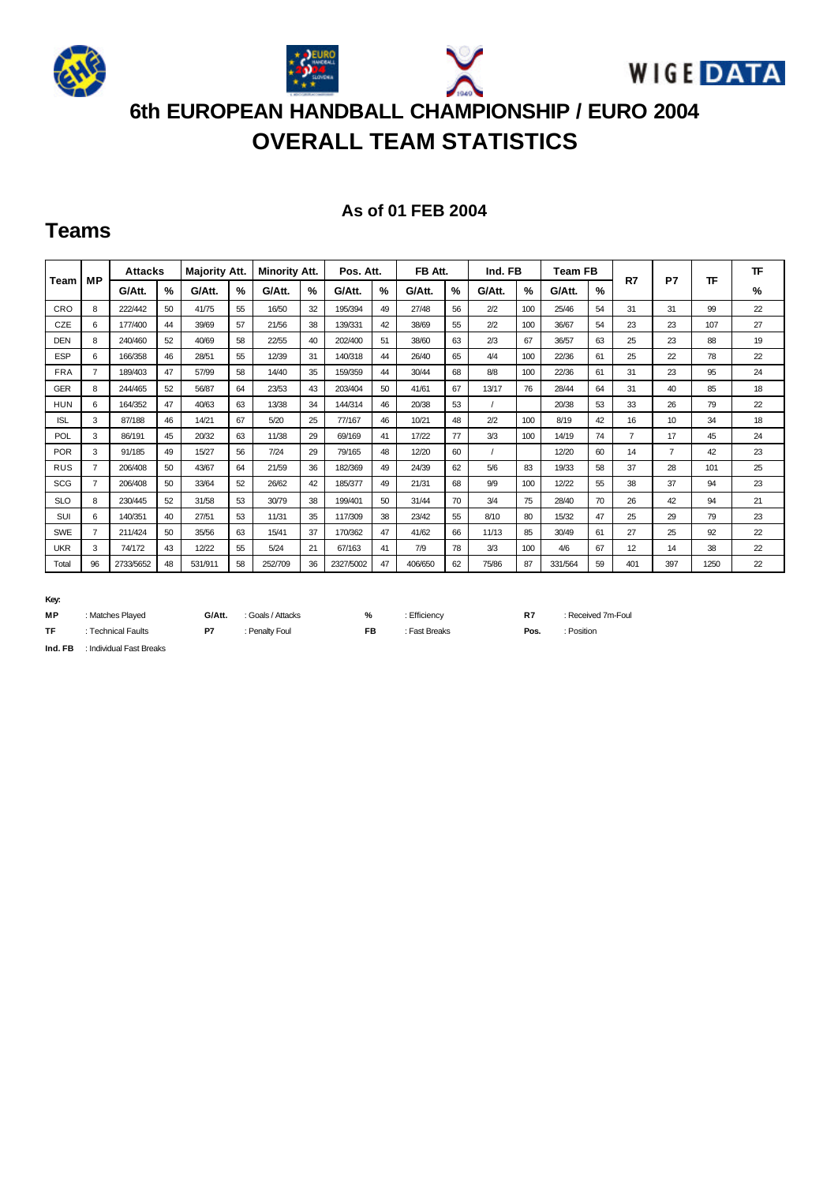

# **OVERALL TEAM STATISTICS**

#### **As of 01 FEB 2004**

### **Teams**

| Team       | МP             | <b>Attacks</b> |               | <b>Majority Att.</b> |    | <b>Minority Att.</b> |               | Pos. Att. |               | FB Att. |               | Ind. FB |               | <b>Team FB</b> |               | R7             | P7             | ᅚ    | <b>TF</b> |
|------------|----------------|----------------|---------------|----------------------|----|----------------------|---------------|-----------|---------------|---------|---------------|---------|---------------|----------------|---------------|----------------|----------------|------|-----------|
|            |                | G/Att.         | $\frac{9}{6}$ | G/Att.               | %  | G/Att.               | $\frac{9}{6}$ | G/Att.    | $\frac{9}{6}$ | G/Att.  | $\frac{9}{6}$ | G/Att.  | $\frac{9}{6}$ | G/Att.         | $\frac{9}{6}$ |                |                |      | %         |
| CRO        | 8              | 222/442        | 50            | 41/75                | 55 | 16/50                | 32            | 195/394   | 49            | 27/48   | 56            | 2/2     | 100           | 25/46          | 54            | 31             | 31             | 99   | 22        |
| CZE        | 6              | 177/400        | 44            | 39/69                | 57 | 21/56                | 38            | 139/331   | 42            | 38/69   | 55            | 2/2     | 100           | 36/67          | 54            | 23             | 23             | 107  | 27        |
| <b>DEN</b> | 8              | 240/460        | 52            | 40/69                | 58 | 22/55                | 40            | 202/400   | 51            | 38/60   | 63            | 2/3     | 67            | 36/57          | 63            | 25             | 23             | 88   | 19        |
| <b>ESP</b> | 6              | 166/358        | 46            | 28/51                | 55 | 12/39                | 31            | 140/318   | 44            | 26/40   | 65            | 4/4     | 100           | 22/36          | 61            | 25             | 22             | 78   | 22        |
| <b>FRA</b> | $\overline{7}$ | 189/403        | 47            | 57/99                | 58 | 14/40                | 35            | 159/359   | 44            | 30/44   | 68            | 8/8     | 100           | 22/36          | 61            | 31             | 23             | 95   | 24        |
| <b>GER</b> | 8              | 244/465        | 52            | 56/87                | 64 | 23/53                | 43            | 203/404   | 50            | 41/61   | 67            | 13/17   | 76            | 28/44          | 64            | 31             | 40             | 85   | 18        |
| <b>HUN</b> | 6              | 164/352        | 47            | 40/63                | 63 | 13/38                | 34            | 144/314   | 46            | 20/38   | 53            |         |               | 20/38          | 53            | 33             | 26             | 79   | 22        |
| <b>ISL</b> | 3              | 87/188         | 46            | 14/21                | 67 | 5/20                 | 25            | 77/167    | 46            | 10/21   | 48            | 2/2     | 100           | 8/19           | 42            | 16             | 10             | 34   | 18        |
| POL        | 3              | 86/191         | 45            | 20/32                | 63 | 11/38                | 29            | 69/169    | 41            | 17/22   | 77            | 3/3     | 100           | 14/19          | 74            | $\overline{7}$ | 17             | 45   | 24        |
| <b>POR</b> | 3              | 91/185         | 49            | 15/27                | 56 | 7/24                 | 29            | 79/165    | 48            | 12/20   | 60            |         |               | 12/20          | 60            | 14             | $\overline{7}$ | 42   | 23        |
| <b>RUS</b> | $\overline{7}$ | 206/408        | 50            | 43/67                | 64 | 21/59                | 36            | 182/369   | 49            | 24/39   | 62            | 5/6     | 83            | 19/33          | 58            | 37             | 28             | 101  | 25        |
| <b>SCG</b> | $\overline{7}$ | 206/408        | 50            | 33/64                | 52 | 26/62                | 42            | 185/377   | 49            | 21/31   | 68            | 9/9     | 100           | 12/22          | 55            | 38             | 37             | 94   | 23        |
| <b>SLO</b> | 8              | 230/445        | 52            | 31/58                | 53 | 30/79                | 38            | 199/401   | 50            | 31/44   | -70           | 3/4     | 75            | 28/40          | 70            | 26             | 42             | 94   | 21        |
| <b>SUI</b> | 6              | 140/351        | 40            | 27/51                | 53 | 11/31                | 35            | 117/309   | 38            | 23/42   | 55            | 8/10    | 80            | 15/32          | 47            | 25             | 29             | 79   | 23        |
| <b>SWE</b> | $\overline{7}$ | 211/424        | 50            | 35/56                | 63 | 15/41                | 37            | 170/362   | 47            | 41/62   | 66            | 11/13   | 85            | 30/49          | 61            | 27             | 25             | 92   | 22        |
| <b>UKR</b> | 3              | 74/172         | 43            | 12/22                | 55 | 5/24                 | 21            | 67/163    | 41            | 7/9     | 78            | 3/3     | 100           | 4/6            | 67            | 12             | 14             | 38   | 22        |
| Total      | 96             | 2733/5652      | 48            | 531/911              | 58 | 252/709              | 36            | 2327/5002 | 47            | 406/650 | 62            | 75/86   | 87            | 331/564        | 59            | 401            | 397            | 1250 | 22        |

**Key:**

| MР     | : Matches Plaved         | G/Att. | : Goals / Attacks | %  | : Efficiency  | R7   | : Received 7m-Foul |
|--------|--------------------------|--------|-------------------|----|---------------|------|--------------------|
| TF     | Technical Faults         | P7     | : Penaltv Foul    | FB | : Fast Breaks | Pos. | : Position         |
| Ind FR | : Individual Fast Breaks |        |                   |    |               |      |                    |

**FB** : Individual Fast Breaks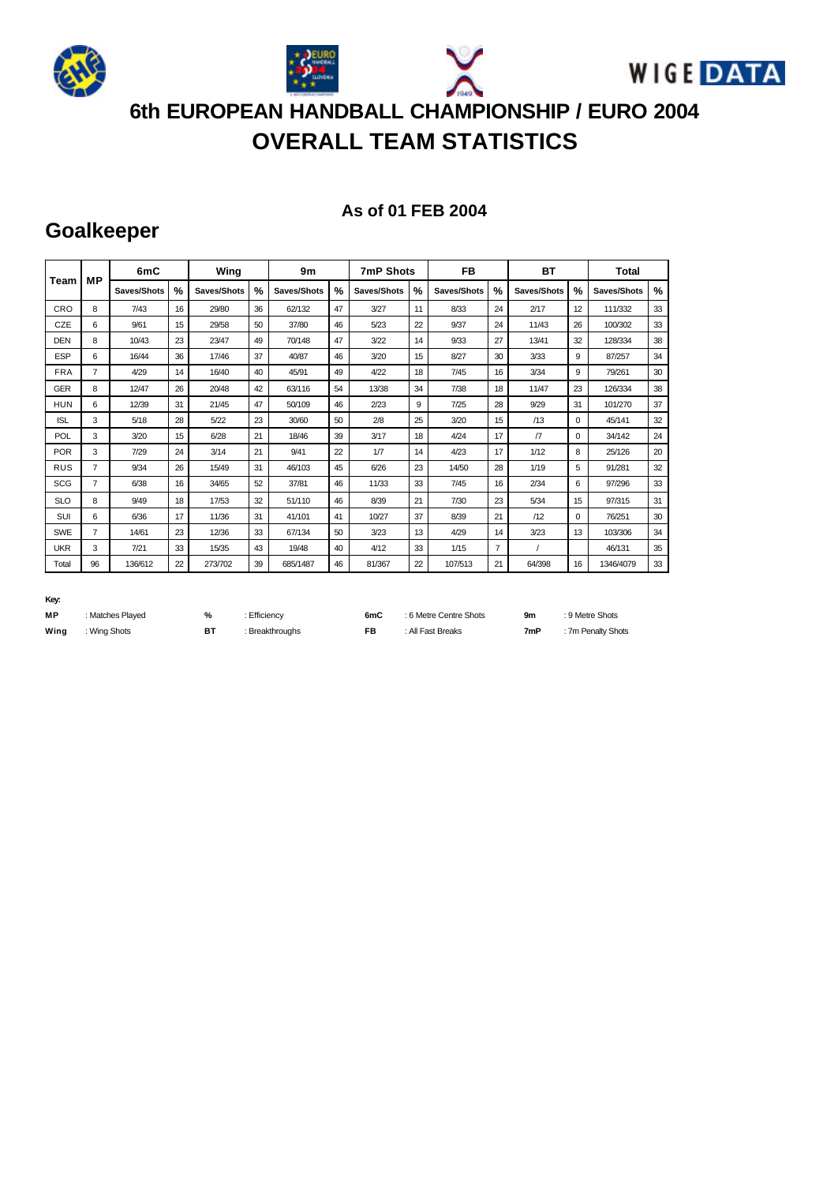

# **OVERALL TEAM STATISTICS**

#### **As of 01 FEB 2004**

 $: 9$  Metre Shots  $: 7m$  Penalty Shots

### **Goalkeeper**

|            | <b>MP</b>      | 6mC         |    | Wing        |               | 9m          |    | <b>7mP Shots</b> |               | <b>FB</b>   |                | BT          |          | Total         |               |
|------------|----------------|-------------|----|-------------|---------------|-------------|----|------------------|---------------|-------------|----------------|-------------|----------|---------------|---------------|
| Team       |                | Saves/Shots | %  | Saves/Shots | $\frac{0}{0}$ | Saves/Shots | %  | Saves/Shots      | $\frac{9}{6}$ | Saves/Shots | $\frac{9}{6}$  | Saves/Shots | $\%$     | Saves/Shots   | $\frac{9}{6}$ |
| CRO        | 8              | 7/43        | 16 | 29/80       | 36            | 62/132      | 47 | 3/27             | 11            | 8/33        | 24             | 2/17        | 12       | 111/332       | 33            |
| CZE        | 6              | 9/61        | 15 | 29/58       | 50            | 37/80       | 46 | 5/23             | 22            | 9/37        | 24             | 11/43       | 26       | 100/302       | 33            |
| <b>DEN</b> | 8              | 10/43       | 23 | 23/47       | 49            | 70/148      | 47 | 3/22             | 14            | 9/33        | 27             | 13/41       | 32       | 128/334       | 38            |
| <b>ESP</b> | 6              | 16/44       | 36 | 17/46       | 37            | 40/87       | 46 | 3/20             | 15            | 8/27        | 30             | 3/33        | 9        | 87/257        | 34            |
| <b>FRA</b> | 7              | 4/29        | 14 | 16/40       | 40            | 45/91       | 49 | 4/22             | 18            | 7/45        | 16             | 3/34        | 9        | 79/261        | 30            |
| <b>GER</b> | 8              | 12/47       | 26 | 20/48       | 42            | 63/116      | 54 | 13/38            | 34            | 7/38        | 18             | 11/47       | 23       | 126/334       | 38            |
| <b>HUN</b> | 6              | 12/39       | 31 | 21/45       | 47            | 50/109      | 46 | 2/23             | 9             | 7/25        | 28             | 9/29        | 31       | 101/270<br>37 |               |
| <b>ISL</b> | 3              | 5/18        | 28 | 5/22        | 23            | 30/60       | 50 | 2/8              | 25            | 3/20        | 15             | /13         | $\Omega$ | 45/141        | 32            |
| <b>POL</b> | 3              | 3/20        | 15 | 6/28        | 21            | 18/46       | 39 | 3/17             | 18            | 4/24        | 17             | $\sqrt{7}$  | $\Omega$ | 34/142        | 24            |
| <b>POR</b> | 3              | 7/29        | 24 | 3/14        | 21            | 9/41        | 22 | 1/7              | 14            | 4/23        | 17             | 1/12        | 8        | 25/126        | 20            |
| <b>RUS</b> | 7              | 9/34        | 26 | 15/49       | 31            | 46/103      | 45 | 6/26             | 23            | 14/50       | 28             | 1/19        | 5        | 91/281        | 32            |
| <b>SCG</b> | 7              | 6/38        | 16 | 34/65       | 52            | 37/81       | 46 | 11/33            | 33            | 7/45        | 16             | 2/34        | 6        | 97/296        | 33            |
| <b>SLO</b> | 8              | 9/49        | 18 | 17/53       | 32            | 51/110      | 46 | 8/39             | 21            | 7/30        | 23             | 5/34        | 15       | 97/315        | 31            |
| <b>SUI</b> | 6              | 6/36        | 17 | 11/36       | 31            | 41/101      | 41 | 10/27            | 37            | 8/39        | 21             | /12         | $\Omega$ | 76/251        | 30            |
| <b>SWE</b> | $\overline{7}$ | 14/61       | 23 | 12/36       | 33            | 67/134      | 50 | 3/23             | 13            | 4/29        | 14             | 3/23        | 13       | 103/306       | 34            |
| <b>UKR</b> | 3              | 7/21        | 33 | 15/35       | 43            | 19/48       | 40 | 4/12             | 33            | 1/15        | $\overline{7}$ |             |          | 46/131        | 35            |
| Total      | 96             | 136/612     | 22 | 273/702     | 39            | 685/1487    | 46 | 81/367           | 22            | 107/513     | 21             | 64/398      | 16       | 1346/4079     | 33            |

#### **Key:**

| МP   | : Matches Played | %  | : Efficiency    | 6mC | : 6 Metre Centre Shots | 9m  |
|------|------------------|----|-----------------|-----|------------------------|-----|
| Wing | : Wing Shots     | B1 | : Breakthroughs | FB. | : All Fast Breaks      | 7mP |